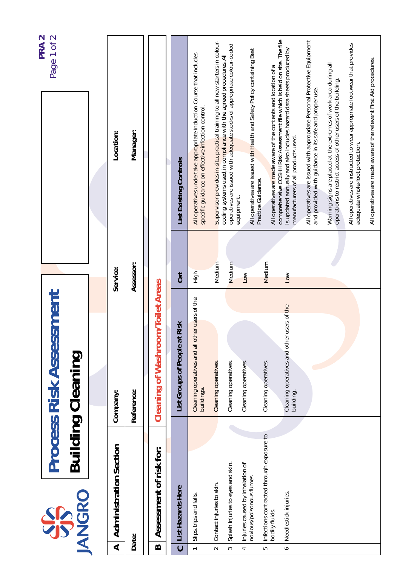| <b>Cleaning of Washroom/Toilet Areas</b><br>Cleaning operatives and all other users of the<br>buildings.<br>Cleaning operatives and other users of t <mark>he</mark><br>building.<br>List Groups of People at Risk<br><b>Building Cleaning</b><br>Cleaning operatives.<br>Cleaning operatives.<br>Cleaning operatives.<br>Cleaning operatives.<br>Reference:<br>Company:<br>Infections contracted through exposure to<br><b>Administration Section</b><br>Assessment of risk for: | SIS                                                         |  | <b>Process Risk Assessment</b> |                  |        |                                                   | PRA <sub>2</sub><br>Page 1 of 2                                                                                                                  |
|-----------------------------------------------------------------------------------------------------------------------------------------------------------------------------------------------------------------------------------------------------------------------------------------------------------------------------------------------------------------------------------------------------------------------------------------------------------------------------------|-------------------------------------------------------------|--|--------------------------------|------------------|--------|---------------------------------------------------|--------------------------------------------------------------------------------------------------------------------------------------------------|
|                                                                                                                                                                                                                                                                                                                                                                                                                                                                                   | <b>JANGRO</b>                                               |  |                                |                  |        |                                                   |                                                                                                                                                  |
|                                                                                                                                                                                                                                                                                                                                                                                                                                                                                   |                                                             |  |                                |                  |        |                                                   |                                                                                                                                                  |
|                                                                                                                                                                                                                                                                                                                                                                                                                                                                                   |                                                             |  |                                | Service:         |        |                                                   | Location:                                                                                                                                        |
|                                                                                                                                                                                                                                                                                                                                                                                                                                                                                   | Date:                                                       |  |                                | Assessor:        |        |                                                   | Manager:                                                                                                                                         |
|                                                                                                                                                                                                                                                                                                                                                                                                                                                                                   |                                                             |  |                                |                  |        |                                                   |                                                                                                                                                  |
|                                                                                                                                                                                                                                                                                                                                                                                                                                                                                   | List Hazards Here                                           |  |                                | <b>Cat</b>       |        | List Existing Controls                            |                                                                                                                                                  |
|                                                                                                                                                                                                                                                                                                                                                                                                                                                                                   | Slips, trips and falls.                                     |  |                                | $rac{1}{2}$      |        | specific guidance on effective infection control. | All operatives undertake appropriate Induction Course that includes                                                                              |
|                                                                                                                                                                                                                                                                                                                                                                                                                                                                                   | Contact injuries to skin.                                   |  |                                |                  | Medium |                                                   | Supervisor provides in-situ, practical training to all new starters in colour-                                                                   |
|                                                                                                                                                                                                                                                                                                                                                                                                                                                                                   | Splash injuries to eyes and skin.                           |  |                                |                  | Medium | equipment.                                        | operatives are issued with adequate stocks of appropriate colour-coded<br>coding systems used, in compliance with the agreed procedures. All     |
|                                                                                                                                                                                                                                                                                                                                                                                                                                                                                   | Injuries caused by inhalation of<br>noxious/poisonous fumes |  |                                | $\overline{100}$ |        |                                                   | All operatives are issued with Health and Safety Policy containing Best                                                                          |
|                                                                                                                                                                                                                                                                                                                                                                                                                                                                                   | bodily fluids.                                              |  |                                |                  | Medium | Practice Guidance.                                | All operatives are made aware of the contents and location of a                                                                                  |
|                                                                                                                                                                                                                                                                                                                                                                                                                                                                                   | Needlestick injuries.                                       |  |                                | Low              |        | manufacturers of all products used.               | comprehensive COSHH Risk Assessment file which is held on site. The file<br>is updated annually and also includes hazard data sheets produced by |
|                                                                                                                                                                                                                                                                                                                                                                                                                                                                                   |                                                             |  |                                |                  |        |                                                   | All operatives are issued with appropriate Personal Protective Equipment<br>and provided with guidance in its safe and proper use.               |
|                                                                                                                                                                                                                                                                                                                                                                                                                                                                                   |                                                             |  |                                |                  |        |                                                   | Warning signs are placed at the extremes of work area during all<br>operations to restrict access of other users of the building.                |
|                                                                                                                                                                                                                                                                                                                                                                                                                                                                                   |                                                             |  |                                |                  |        | adequate whole-foot protection.                   | All operatives are instructed to wear appropriate footwear that provides                                                                         |
|                                                                                                                                                                                                                                                                                                                                                                                                                                                                                   |                                                             |  |                                |                  |        |                                                   | All operatives are made aware of the relevant First Aid procedures.                                                                              |